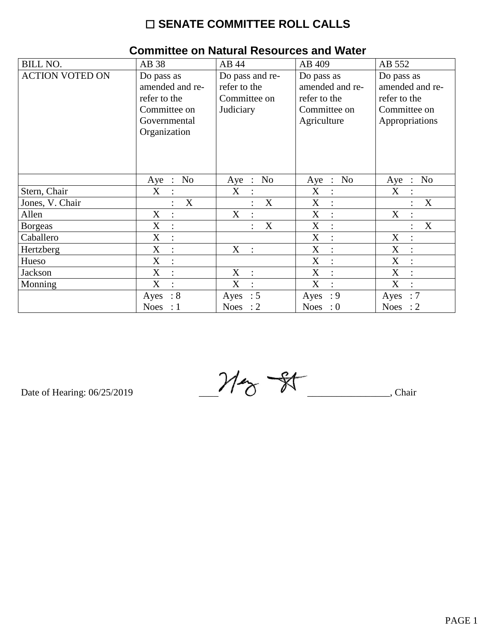| <b>BILL NO.</b>        | AB 38                  | AB 44                  | AB 409              | AB 552                        |
|------------------------|------------------------|------------------------|---------------------|-------------------------------|
| <b>ACTION VOTED ON</b> | Do pass as             | Do pass and re-        | Do pass as          | Do pass as                    |
|                        | amended and re-        | refer to the           | amended and re-     | amended and re-               |
|                        | refer to the           | Committee on           | refer to the        | refer to the                  |
|                        | Committee on           | Judiciary              | Committee on        | Committee on                  |
|                        | Governmental           |                        |                     |                               |
|                        |                        |                        | Agriculture         | Appropriations                |
|                        | Organization           |                        |                     |                               |
|                        |                        |                        |                     |                               |
|                        |                        |                        |                     |                               |
|                        |                        |                        |                     |                               |
|                        | No                     | N <sub>o</sub>         | Aye : No            | N <sub>o</sub>                |
|                        | $Aye$ :                | Aye :                  |                     | $Aye$ :                       |
| Stern, Chair           | X                      | X                      | X<br>$\ddot{\cdot}$ | X                             |
| Jones, V. Chair        | X                      | X                      | X                   | X                             |
| Allen                  | X<br>$\ddot{\cdot}$    | X<br>$\ddot{\cdot}$    | X<br>$\ddot{\cdot}$ | X<br>$\ddot{\cdot}$           |
| <b>Borgeas</b>         | X<br>$\ddot{\cdot}$    | X                      | X<br>$\vdots$       | X                             |
| Caballero              | X<br>$\ddot{\cdot}$    |                        | X<br>$\ddot{\cdot}$ | X                             |
| Hertzberg              | X<br>$\ddot{\cdot}$    | X<br>$\sim$ 1          | X<br>$\ddot{\cdot}$ | X<br>$\ddot{\cdot}$           |
| Hueso                  | X<br>$\ddot{\cdot}$    |                        | X<br>$\ddot{\cdot}$ | X                             |
| Jackson                | $\mathbf X$            | X<br>$\mathbb{R}^2$    | X<br>$\ddot{\cdot}$ | X                             |
| Monning                | X<br>$\ddot{\cdot}$    | X<br>$\cdot$           | X<br>$\ddot{\cdot}$ | X<br>$\cdot$                  |
|                        | $\therefore 8$<br>Ayes | $\therefore$ 5<br>Ayes | : 9<br>Ayes         | :7<br>Ayes                    |
|                        | Noes<br>$\therefore$ 1 | Noes : $2$             | Noes : $0$          | <b>Noes</b><br>$\therefore$ 2 |

#### **Committee on Natural Resources and Water**

Date of Hearing: 06/25/2019

 $M_{\textrm{ex}}$  of  $M_{\textrm{max}}$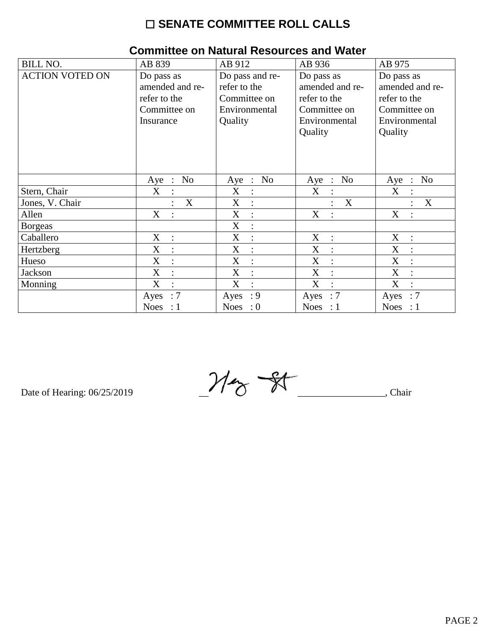| <b>BILL NO.</b>        | AB 839                    | AB 912                         | AB 936                         | AB 975                         |
|------------------------|---------------------------|--------------------------------|--------------------------------|--------------------------------|
| <b>ACTION VOTED ON</b> | Do pass as                | Do pass and re-                | Do pass as                     | Do pass as                     |
|                        | amended and re-           | refer to the                   | amended and re-                | amended and re-                |
|                        | refer to the              | Committee on                   | refer to the                   | refer to the                   |
|                        | Committee on              | Environmental                  | Committee on                   | Committee on                   |
|                        | Insurance                 | Quality                        | Environmental                  | Environmental                  |
|                        |                           |                                | Quality                        | Quality                        |
|                        |                           |                                |                                |                                |
|                        |                           |                                |                                |                                |
|                        |                           |                                |                                |                                |
|                        | N <sub>o</sub>            | N <sub>o</sub><br>$\therefore$ | N <sub>0</sub><br>$\therefore$ | N <sub>o</sub><br>$\mathbb{R}$ |
|                        | $Aye$ :                   | Aye                            | Aye                            | Aye                            |
| Stern, Chair           | X<br>$\ddot{\phantom{a}}$ | X<br>$\ddot{\cdot}$            | X                              | X                              |
| Jones, V. Chair        | X                         | X<br>$\vdots$                  | X<br>$\ddot{\cdot}$            | X                              |
| Allen                  | X<br>$\ddot{\cdot}$       | X<br>$\ddot{\cdot}$            | X<br>$\ddot{\phantom{a}}$      | X                              |
| <b>Borgeas</b>         |                           | X<br>$\ddot{\cdot}$            |                                |                                |
| Caballero              | X<br>$\pm$ :              | X<br>$\ddot{\cdot}$            | X<br>$\sim$ 1 $^{\circ}$       | X<br>$\ddot{\cdot}$            |
| Hertzberg              | X<br>$\ddot{\cdot}$       | X<br>$\ddot{\cdot}$            | X<br>$\ddot{\cdot}$            | X                              |
| Hueso                  | X<br>$\ddot{\cdot}$       | X<br>$\ddot{\cdot}$            | X<br>$\ddot{\cdot}$            | X                              |
| Jackson                | X<br>$\ddot{\cdot}$       | X<br>$\ddot{\cdot}$            | X<br>$\ddot{\cdot}$            | X                              |
| Monning                | X<br>$\bullet$            | X<br>$\bullet$                 | X<br>$\cdot$                   | X<br>$\bullet$                 |
|                        | $\therefore 7$<br>Ayes    | : 9<br>Ayes                    | $\therefore 7$<br>Ayes         | $\therefore 7$<br>Ayes         |
|                        | Noes : $1$                | Noes : $0$                     | Noes : $1$                     | Noes : $1$                     |

#### **Committee on Natural Resources and Water**

Date of Hearing: 06/25/2019

 $M_{\odot}$  St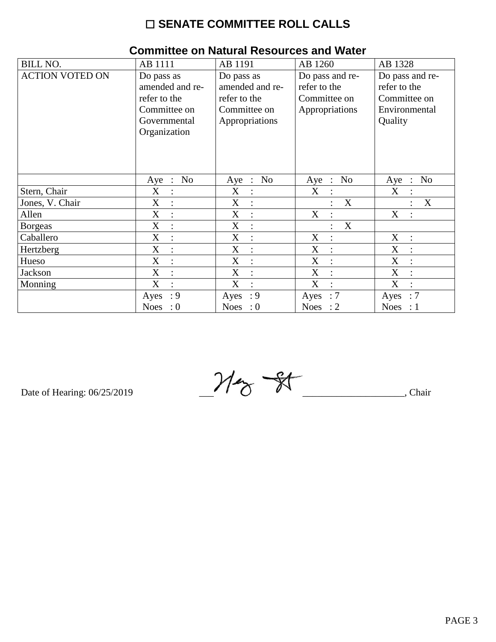| <b>BILL NO.</b>        | AB 1111                       | AB 1191                  | AB 1260                       | AB 1328                  |  |
|------------------------|-------------------------------|--------------------------|-------------------------------|--------------------------|--|
| <b>ACTION VOTED ON</b> | Do pass as                    | Do pass as               | Do pass and re-               | Do pass and re-          |  |
|                        | amended and re-               | amended and re-          | refer to the                  | refer to the             |  |
|                        | refer to the                  | refer to the             | Committee on                  | Committee on             |  |
|                        | Committee on                  | Committee on             | Appropriations                | Environmental            |  |
|                        | Governmental                  | Appropriations           |                               | Quality                  |  |
|                        | Organization                  |                          |                               |                          |  |
|                        |                               |                          |                               |                          |  |
|                        |                               |                          |                               |                          |  |
|                        |                               |                          |                               |                          |  |
|                        | N <sub>o</sub>                | N <sub>o</sub>           | N <sub>o</sub>                | N <sub>o</sub>           |  |
|                        | Aye<br>$\ddot{\phantom{1}}$ : | Aye<br>$\therefore$      | Aye<br>$\therefore$           | Aye<br>$\cdot$ :         |  |
| Stern, Chair           | X<br>$\vdots$                 | X                        | X                             | X                        |  |
| Jones, V. Chair        | $\mathbf X$<br>$\vdots$       | X<br>$\ddot{\cdot}$      | $\mathbf X$<br>$\ddot{\cdot}$ | X                        |  |
| Allen                  | X<br>$\ddot{\cdot}$           | X<br>$\ddot{\cdot}$      | X<br>$\ddot{\cdot}$           | X                        |  |
| <b>Borgeas</b>         | X<br>$\ddot{\cdot}$           | X<br>$\ddot{\cdot}$      | X<br>$\ddot{\cdot}$           |                          |  |
| Caballero              | X<br>$\ddot{\cdot}$           | X<br>$\ddot{\cdot}$      | X<br>$\ddot{\cdot}$           | X<br>$\ddot{\cdot}$      |  |
| Hertzberg              | X<br>$\ddot{\cdot}$           | X<br>$\ddot{\cdot}$      | X<br>$\ddot{\cdot}$           | X                        |  |
| Hueso                  | X<br>$\ddot{\cdot}$           | X<br>$\ddot{\cdot}$      | X<br>$\ddot{\cdot}$           | X                        |  |
| Jackson                | X<br>$\vdots$                 | X<br>$\ddot{\cdot}$      | X<br>$\ddot{\cdot}$           | X                        |  |
| Monning                | X<br>$\ddot{\cdot}$           | X<br>$\bullet$           | X<br>$\cdot$                  | X<br>$\bullet$           |  |
|                        | : 9<br>Ayes                   | : 9<br>Ayes              | $\therefore 7$<br>Ayes        | : 7<br>Ayes              |  |
|                        | <b>Noes</b><br>$\cdot 0$      | <b>Noes</b><br>$\cdot 0$ | Noes : $2$                    | <b>Noes</b><br>$\cdot:1$ |  |

# **Committee on Natural Resources and Water**

Date of Hearing: 06/25/2019

 $M_{\odot}$  -gr  $\overline{\phantom{a}}$ , Chair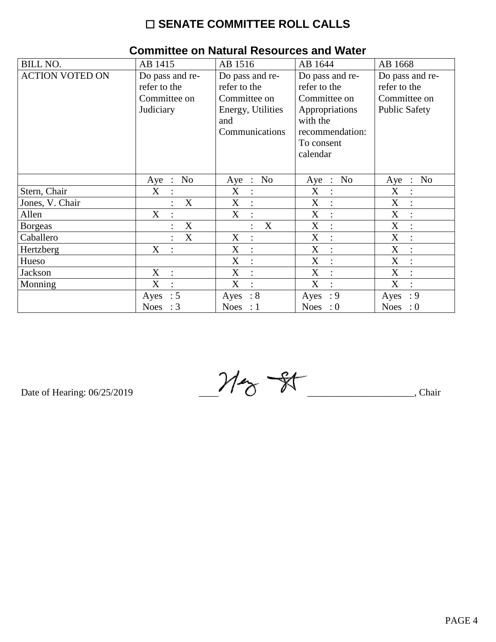| <b>BILL NO.</b>        | AB 1415                               | AB 1516                 | AB 1644             | AB 1668                                 |
|------------------------|---------------------------------------|-------------------------|---------------------|-----------------------------------------|
| <b>ACTION VOTED ON</b> | Do pass and re-                       | Do pass and re-         | Do pass and re-     | Do pass and re-                         |
|                        | refer to the                          | refer to the            | refer to the        | refer to the                            |
|                        | Committee on                          | Committee on            | Committee on        | Committee on                            |
|                        | Judiciary                             | Energy, Utilities       | Appropriations      | <b>Public Safety</b>                    |
|                        |                                       | and                     | with the            |                                         |
|                        |                                       | Communications          | recommendation:     |                                         |
|                        |                                       |                         | To consent          |                                         |
|                        |                                       |                         | calendar            |                                         |
|                        |                                       |                         |                     |                                         |
|                        | N <sub>0</sub><br>Aye<br>$\therefore$ | Aye : No                | Aye : No            | N <sub>o</sub><br>$\mathbb{R}^n$<br>Aye |
| Stern, Chair           | X                                     | X                       | X<br>$\ddot{\cdot}$ | X                                       |
| Jones, V. Chair        | X                                     | X                       | X                   | X                                       |
| Allen                  | X                                     | X<br>$\ddot{\cdot}$     | X<br>$\ddot{\cdot}$ | X<br>$\ddot{\cdot}$                     |
| <b>B</b> orgeas        | X                                     | X                       | X<br>$\ddot{\cdot}$ | X                                       |
| Caballero              | X                                     | X                       | X<br>$\ddot{\cdot}$ | X                                       |
| Hertzberg              | X                                     | X                       | X<br>$\ddot{\cdot}$ | X                                       |
| Hueso                  |                                       | X<br>$\ddot{\cdot}$     | X<br>$\ddot{\cdot}$ | X                                       |
| Jackson                | X<br>$\ddot{\cdot}$                   | X<br>$\ddot{\cdot}$     | X<br>$\ddot{\cdot}$ | X                                       |
| Monning                | X<br>$\ddot{\cdot}$                   | X<br>$\overline{\cdot}$ | X<br>$\cdot$        | X                                       |
|                        | $\therefore$ 5<br>Ayes                | $\therefore 8$<br>Ayes  | : 9<br>Ayes         | : 9<br>Ayes                             |
|                        | Noes : $3$                            | Noes : $1$              | Noes : $0$          | Noes : $0$                              |

#### **Committee on Natural Resources and Water**

Date of Hearing: 06/25/2019

 $M_{\odot}$  - 81  $\overline{\phantom{a}}$ , Chair